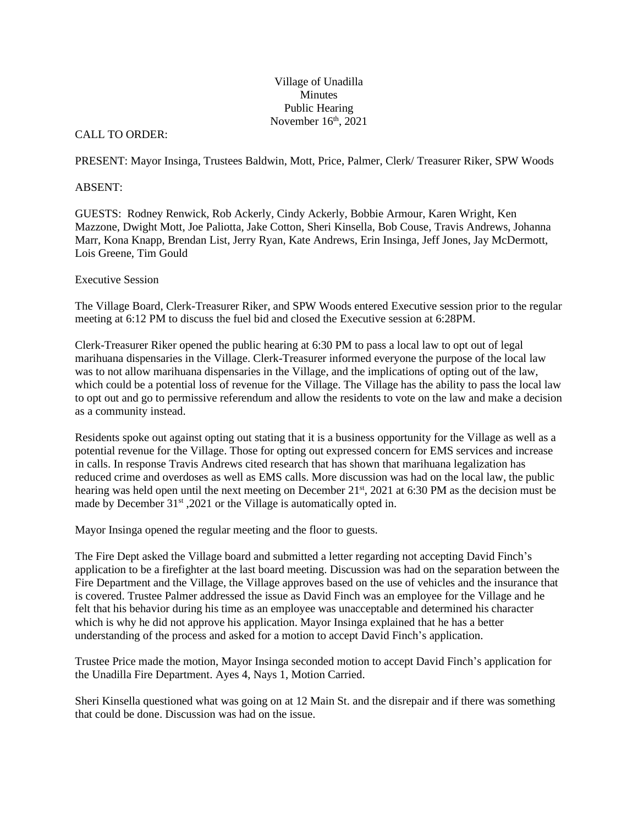## Village of Unadilla **Minutes** Public Hearing November  $16<sup>th</sup>$ , 2021

## CALL TO ORDER:

PRESENT: Mayor Insinga, Trustees Baldwin, Mott, Price, Palmer, Clerk/ Treasurer Riker, SPW Woods

## ABSENT:

GUESTS: Rodney Renwick, Rob Ackerly, Cindy Ackerly, Bobbie Armour, Karen Wright, Ken Mazzone, Dwight Mott, Joe Paliotta, Jake Cotton, Sheri Kinsella, Bob Couse, Travis Andrews, Johanna Marr, Kona Knapp, Brendan List, Jerry Ryan, Kate Andrews, Erin Insinga, Jeff Jones, Jay McDermott, Lois Greene, Tim Gould

## Executive Session

The Village Board, Clerk-Treasurer Riker, and SPW Woods entered Executive session prior to the regular meeting at 6:12 PM to discuss the fuel bid and closed the Executive session at 6:28PM.

Clerk-Treasurer Riker opened the public hearing at 6:30 PM to pass a local law to opt out of legal marihuana dispensaries in the Village. Clerk-Treasurer informed everyone the purpose of the local law was to not allow marihuana dispensaries in the Village, and the implications of opting out of the law, which could be a potential loss of revenue for the Village. The Village has the ability to pass the local law to opt out and go to permissive referendum and allow the residents to vote on the law and make a decision as a community instead.

Residents spoke out against opting out stating that it is a business opportunity for the Village as well as a potential revenue for the Village. Those for opting out expressed concern for EMS services and increase in calls. In response Travis Andrews cited research that has shown that marihuana legalization has reduced crime and overdoses as well as EMS calls. More discussion was had on the local law, the public hearing was held open until the next meeting on December 21<sup>st</sup>, 2021 at 6:30 PM as the decision must be made by December  $31<sup>st</sup>$ , 2021 or the Village is automatically opted in.

Mayor Insinga opened the regular meeting and the floor to guests.

The Fire Dept asked the Village board and submitted a letter regarding not accepting David Finch's application to be a firefighter at the last board meeting. Discussion was had on the separation between the Fire Department and the Village, the Village approves based on the use of vehicles and the insurance that is covered. Trustee Palmer addressed the issue as David Finch was an employee for the Village and he felt that his behavior during his time as an employee was unacceptable and determined his character which is why he did not approve his application. Mayor Insinga explained that he has a better understanding of the process and asked for a motion to accept David Finch's application.

Trustee Price made the motion, Mayor Insinga seconded motion to accept David Finch's application for the Unadilla Fire Department. Ayes 4, Nays 1, Motion Carried.

Sheri Kinsella questioned what was going on at 12 Main St. and the disrepair and if there was something that could be done. Discussion was had on the issue.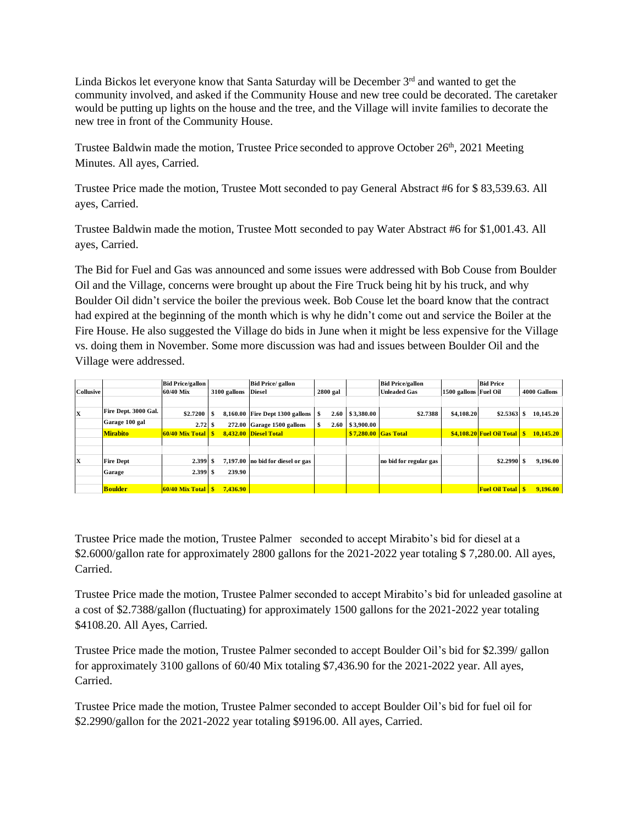Linda Bickos let everyone know that Santa Saturday will be December 3<sup>rd</sup> and wanted to get the community involved, and asked if the Community House and new tree could be decorated. The caretaker would be putting up lights on the house and the tree, and the Village will invite families to decorate the new tree in front of the Community House.

Trustee Baldwin made the motion, Trustee Price seconded to approve October  $26<sup>th</sup>$ , 2021 Meeting Minutes. All ayes, Carried.

Trustee Price made the motion, Trustee Mott seconded to pay General Abstract #6 for \$ 83,539.63. All ayes, Carried.

Trustee Baldwin made the motion, Trustee Mott seconded to pay Water Abstract #6 for \$1,001.43. All ayes, Carried.

The Bid for Fuel and Gas was announced and some issues were addressed with Bob Couse from Boulder Oil and the Village, concerns were brought up about the Fire Truck being hit by his truck, and why Boulder Oil didn't service the boiler the previous week. Bob Couse let the board know that the contract had expired at the beginning of the month which is why he didn't come out and service the Boiler at the Fire House. He also suggested the Village do bids in June when it might be less expensive for the Village vs. doing them in November. Some more discussion was had and issues between Boulder Oil and the Village were addressed.

|                  |                      | <b>Bid Price/gallon</b>         |    |              | <b>Bid Price/gallon</b>           |            |                       | <b>Bid Price/gallon</b> |                       | <b>Bid Price</b>                |              |
|------------------|----------------------|---------------------------------|----|--------------|-----------------------------------|------------|-----------------------|-------------------------|-----------------------|---------------------------------|--------------|
| <b>Collusive</b> |                      | 60/40 Mix                       |    | 3100 gallons | <b>Diesel</b>                     | $2800$ gal |                       | <b>Unleaded Gas</b>     | 1500 gallons Fuel Oil |                                 | 4000 Gallons |
|                  |                      |                                 |    |              |                                   |            |                       |                         |                       |                                 |              |
| X                | Fire Dept. 3000 Gal. | \$2.7200                        | £. |              | 8,160.00 Fire Dept 1300 gallons   | 2.60       | \$3,380.00            | \$2.7388                | \$4,108.20            | \$2.5363\$                      | 10.145.20    |
|                  | Garage 100 gal       | $2.72 \&$                       |    |              | $272.00$ Garage 1500 gallons      | 2.60       | \$3,900.00            |                         |                       |                                 |              |
|                  | <b>Mirabito</b>      | 60/40 Mix Total                 |    |              | 8.432.00 Diesel Total             |            | $$7.280.00$ Gas Total |                         |                       | $$4.108.20$ Fuel Oil Total $\$$ | 10.145.20    |
|                  |                      |                                 |    |              |                                   |            |                       |                         |                       |                                 |              |
|                  |                      |                                 |    |              |                                   |            |                       |                         |                       |                                 |              |
| X                | <b>Fire Dept</b>     | $2.399$ \$                      |    |              | 7,197.00 no bid for diesel or gas |            |                       | no bid for regular gas  |                       | $$2.2990$ \$                    | 9,196.00     |
|                  | Garage               | $2.399$ \$                      |    | 239.90       |                                   |            |                       |                         |                       |                                 |              |
|                  |                      |                                 |    |              |                                   |            |                       |                         |                       |                                 |              |
|                  | <b>Boulder</b>       | $60/40$ Mix Total $\frac{8}{5}$ |    | 7.436.90     |                                   |            |                       |                         |                       | <b>Fuel Oil Total   \$</b>      | 9,196.00     |

Trustee Price made the motion, Trustee Palmer seconded to accept Mirabito's bid for diesel at a \$2.6000/gallon rate for approximately 2800 gallons for the 2021-2022 year totaling \$ 7,280.00. All ayes, Carried.

Trustee Price made the motion, Trustee Palmer seconded to accept Mirabito's bid for unleaded gasoline at a cost of \$2.7388/gallon (fluctuating) for approximately 1500 gallons for the 2021-2022 year totaling \$4108.20. All Ayes, Carried.

Trustee Price made the motion, Trustee Palmer seconded to accept Boulder Oil's bid for \$2.399/ gallon for approximately 3100 gallons of 60/40 Mix totaling \$7,436.90 for the 2021-2022 year. All ayes, **Carried** 

Trustee Price made the motion, Trustee Palmer seconded to accept Boulder Oil's bid for fuel oil for \$2.2990/gallon for the 2021-2022 year totaling \$9196.00. All ayes, Carried.